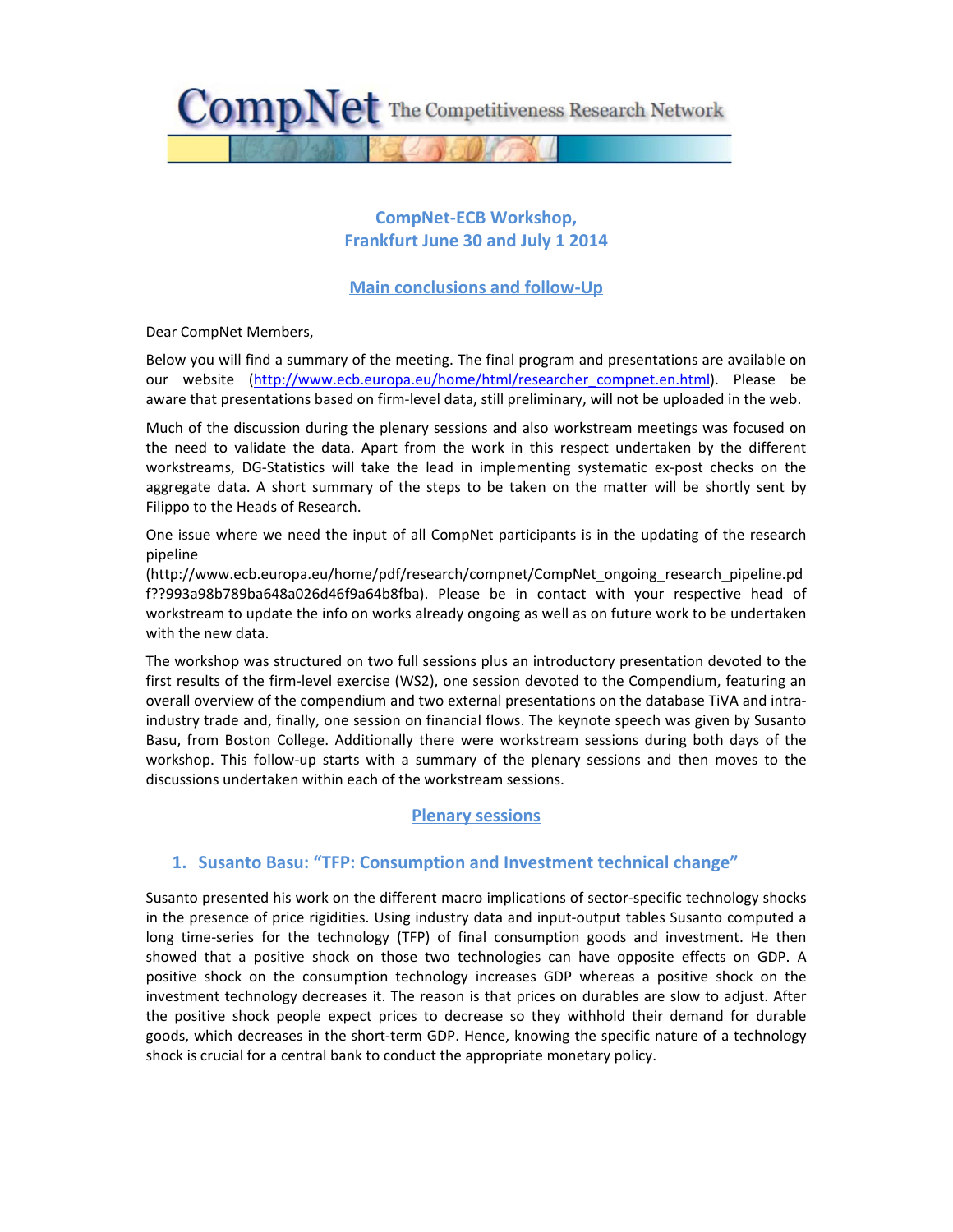

# **CompNet‐ECB Workshop, Frankfurt June 30 and July 1 2014**

## **Main conclusions and follow‐Up**

Dear CompNet Members,

Below you will find a summary of the meeting. The final program and presentations are available on our website (http://www.ecb.europa.eu/home/html/researcher\_compnet.en.html). Please be aware that presentations based on firm-level data, still preliminary, will not be uploaded in the web.

Much of the discussion during the plenary sessions and also workstream meetings was focused on the need to validate the data. Apart from the work in this respect undertaken by the different workstreams, DG‐Statistics will take the lead in implementing systematic ex‐post checks on the aggregate data. A short summary of the steps to be taken on the matter will be shortly sent by Filippo to the Heads of Research.

One issue where we need the input of all CompNet participants is in the updating of the research pipeline

(http://www.ecb.europa.eu/home/pdf/research/compnet/CompNet\_ongoing\_research\_pipeline.pd f??993a98b789ba648a026d46f9a64b8fba). Please be in contact with your respective head of workstream to update the info on works already ongoing as well as on future work to be undertaken with the new data.

The workshop was structured on two full sessions plus an introductory presentation devoted to the first results of the firm-level exercise (WS2), one session devoted to the Compendium, featuring an overall overview of the compendium and two external presentations on the database TiVA and intra‐ industry trade and, finally, one session on financial flows. The keynote speech was given by Susanto Basu, from Boston College. Additionally there were workstream sessions during both days of the workshop. This follow-up starts with a summary of the plenary sessions and then moves to the discussions undertaken within each of the workstream sessions.

## **Plenary sessions**

## **1. Susanto Basu: "TFP: Consumption and Investment technical change"**

Susanto presented his work on the different macro implications of sector-specific technology shocks in the presence of price rigidities. Using industry data and input‐output tables Susanto computed a long time-series for the technology (TFP) of final consumption goods and investment. He then showed that a positive shock on those two technologies can have opposite effects on GDP. A positive shock on the consumption technology increases GDP whereas a positive shock on the investment technology decreases it. The reason is that prices on durables are slow to adjust. After the positive shock people expect prices to decrease so they withhold their demand for durable goods, which decreases in the short‐term GDP. Hence, knowing the specific nature of a technology shock is crucial for a central bank to conduct the appropriate monetary policy.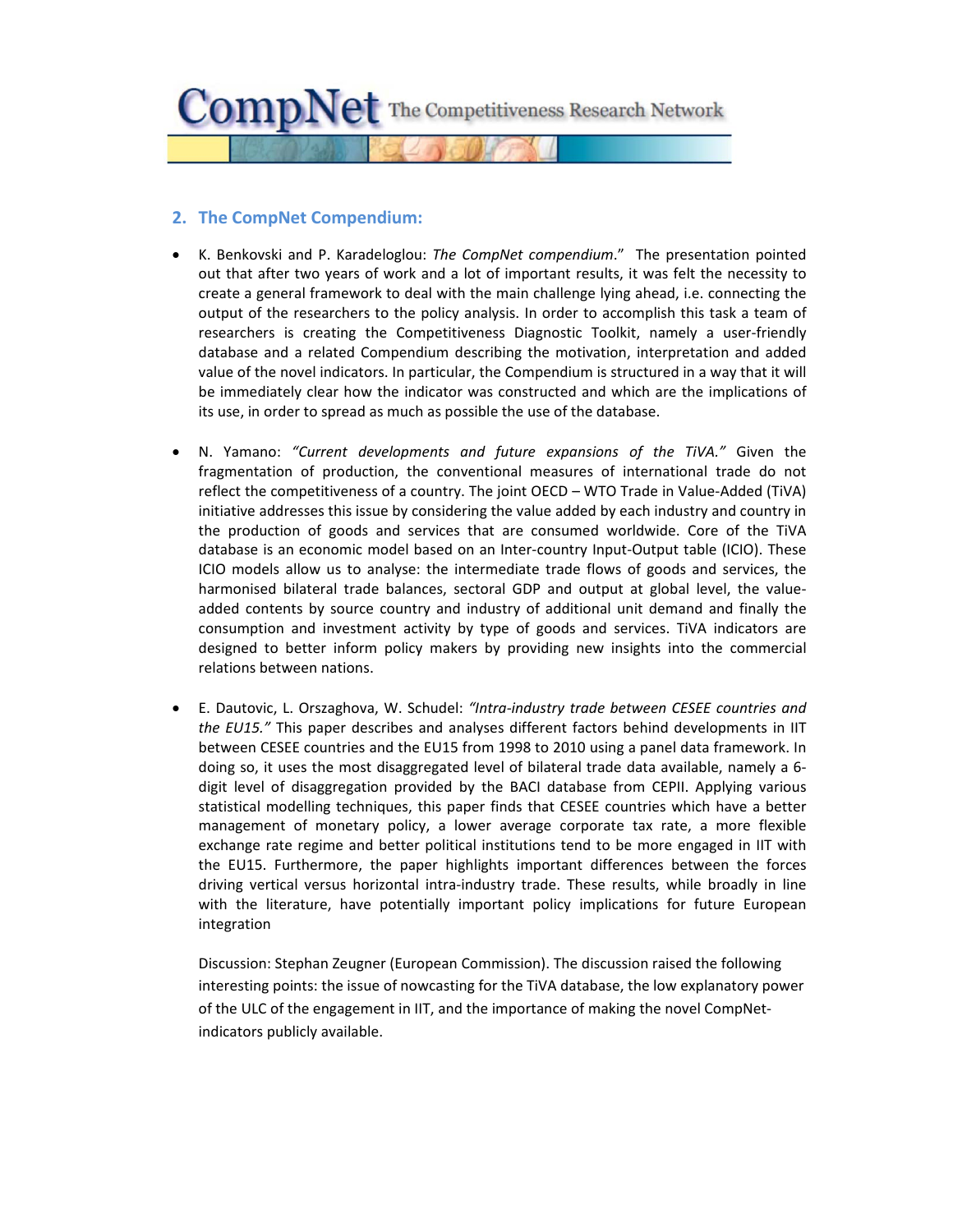

### **2. The CompNet Compendium:**

- K. Benkovski and P. Karadeloglou: *The CompNet compendium*." The presentation pointed out that after two years of work and a lot of important results, it was felt the necessity to create a general framework to deal with the main challenge lying ahead, i.e. connecting the output of the researchers to the policy analysis. In order to accomplish this task a team of researchers is creating the Competitiveness Diagnostic Toolkit, namely a user‐friendly database and a related Compendium describing the motivation, interpretation and added value of the novel indicators. In particular, the Compendium is structured in a way that it will be immediately clear how the indicator was constructed and which are the implications of its use, in order to spread as much as possible the use of the database.
- N. Yamano: *"Current developments and future expansions of the TiVA."* Given the fragmentation of production, the conventional measures of international trade do not reflect the competitiveness of a country. The joint OECD – WTO Trade in Value‐Added (TiVA) initiative addresses this issue by considering the value added by each industry and country in the production of goods and services that are consumed worldwide. Core of the TiVA database is an economic model based on an Inter‐country Input‐Output table (ICIO). These ICIO models allow us to analyse: the intermediate trade flows of goods and services, the harmonised bilateral trade balances, sectoral GDP and output at global level, the value‐ added contents by source country and industry of additional unit demand and finally the consumption and investment activity by type of goods and services. TiVA indicators are designed to better inform policy makers by providing new insights into the commercial relations between nations.
- E. Dautovic, L. Orszaghova, W. Schudel: *"Intra‐industry trade between CESEE countries and the EU15."* This paper describes and analyses different factors behind developments in IIT between CESEE countries and the EU15 from 1998 to 2010 using a panel data framework. In doing so, it uses the most disaggregated level of bilateral trade data available, namely a 6‐ digit level of disaggregation provided by the BACI database from CEPII. Applying various statistical modelling techniques, this paper finds that CESEE countries which have a better management of monetary policy, a lower average corporate tax rate, a more flexible exchange rate regime and better political institutions tend to be more engaged in IIT with the EU15. Furthermore, the paper highlights important differences between the forces driving vertical versus horizontal intra-industry trade. These results, while broadly in line with the literature, have potentially important policy implications for future European integration

Discussion: Stephan Zeugner (European Commission). The discussion raised the following interesting points: the issue of nowcasting for the TiVA database, the low explanatory power of the ULC of the engagement in IIT, and the importance of making the novel CompNet‐ indicators publicly available.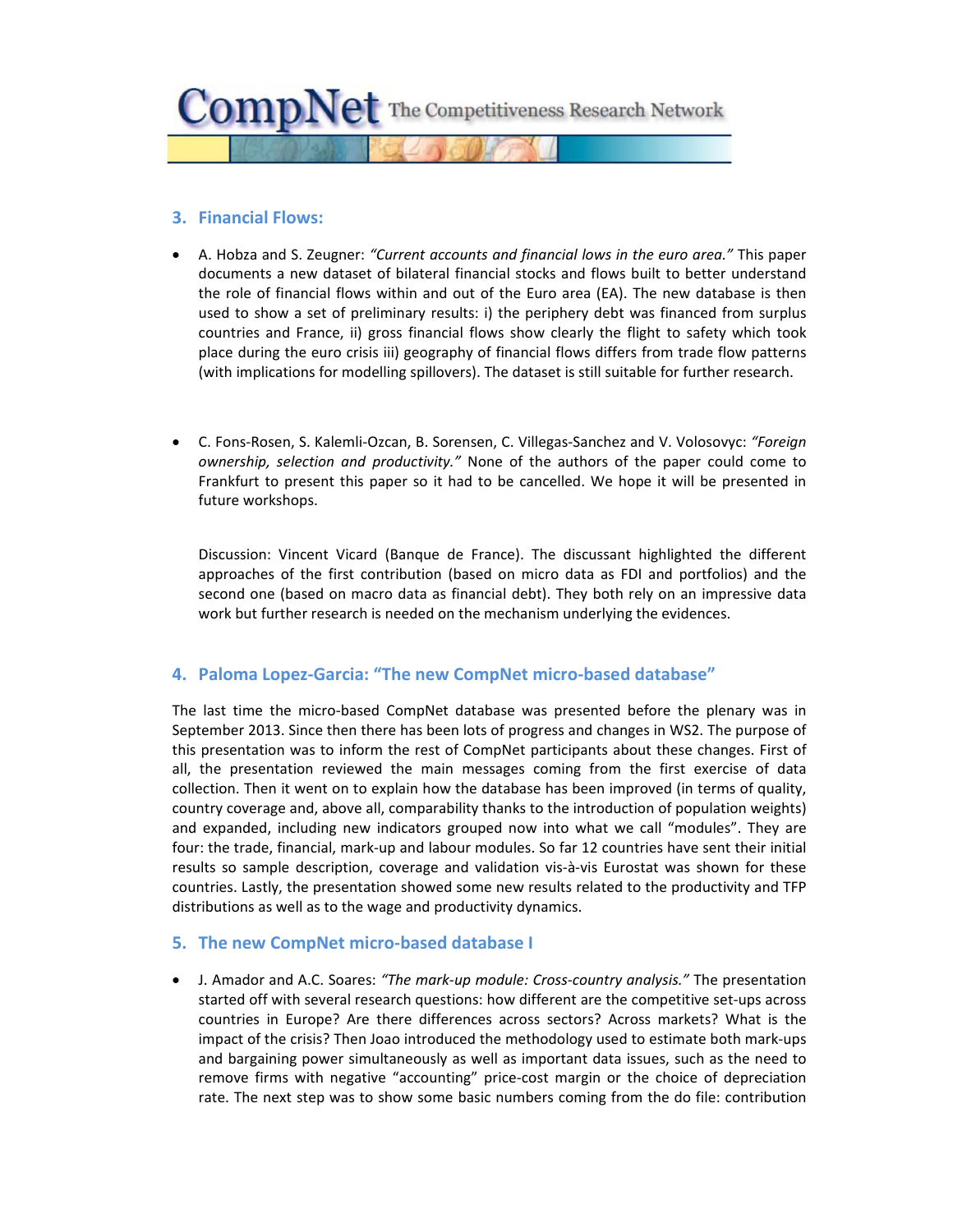

### **3. Financial Flows:**

- A. Hobza and S. Zeugner: *"Current accounts and financial lows in the euro area."* This paper documents a new dataset of bilateral financial stocks and flows built to better understand the role of financial flows within and out of the Euro area (EA). The new database is then used to show a set of preliminary results: i) the periphery debt was financed from surplus countries and France, ii) gross financial flows show clearly the flight to safety which took place during the euro crisis iii) geography of financial flows differs from trade flow patterns (with implications for modelling spillovers). The dataset is still suitable for further research.
- C. Fons‐Rosen, S. Kalemli‐Ozcan, B. Sorensen, C. Villegas‐Sanchez and V. Volosovyc: *"Foreign ownership, selection and productivity."* None of the authors of the paper could come to Frankfurt to present this paper so it had to be cancelled. We hope it will be presented in future workshops.

Discussion: Vincent Vicard (Banque de France). The discussant highlighted the different approaches of the first contribution (based on micro data as FDI and portfolios) and the second one (based on macro data as financial debt). They both rely on an impressive data work but further research is needed on the mechanism underlying the evidences.

### **4. Paloma Lopez‐Garcia: "The new CompNet micro‐based database"**

The last time the micro‐based CompNet database was presented before the plenary was in September 2013. Since then there has been lots of progress and changes in WS2. The purpose of this presentation was to inform the rest of CompNet participants about these changes. First of all, the presentation reviewed the main messages coming from the first exercise of data collection. Then it went on to explain how the database has been improved (in terms of quality, country coverage and, above all, comparability thanks to the introduction of population weights) and expanded, including new indicators grouped now into what we call "modules". They are four: the trade, financial, mark‐up and labour modules. So far 12 countries have sent their initial results so sample description, coverage and validation vis‐à‐vis Eurostat was shown for these countries. Lastly, the presentation showed some new results related to the productivity and TFP distributions as well as to the wage and productivity dynamics.

### **5. The new CompNet micro‐based database I**

 J. Amador and A.C. Soares: *"The mark‐up module: Cross‐country analysis."* The presentation started off with several research questions: how different are the competitive set-ups across countries in Europe? Are there differences across sectors? Across markets? What is the impact of the crisis? Then Joao introduced the methodology used to estimate both mark‐ups and bargaining power simultaneously as well as important data issues, such as the need to remove firms with negative "accounting" price-cost margin or the choice of depreciation rate. The next step was to show some basic numbers coming from the do file: contribution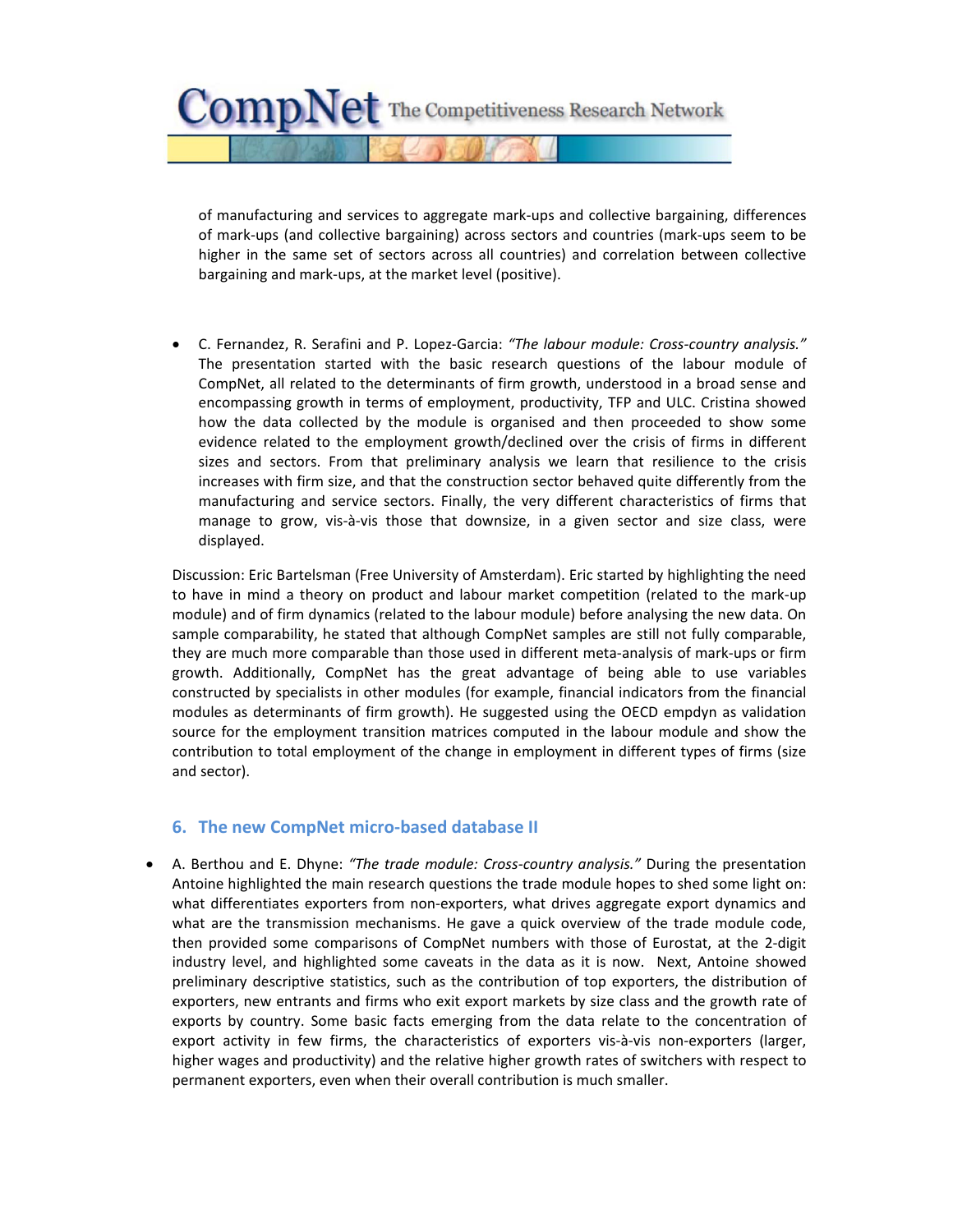$CompNet$  The Competitiveness Research Network

of manufacturing and services to aggregate mark‐ups and collective bargaining, differences of mark‐ups (and collective bargaining) across sectors and countries (mark‐ups seem to be higher in the same set of sectors across all countries) and correlation between collective bargaining and mark‐ups, at the market level (positive).

 C. Fernandez, R. Serafini and P. Lopez‐Garcia: *"The labour module: Cross‐country analysis."* The presentation started with the basic research questions of the labour module of CompNet, all related to the determinants of firm growth, understood in a broad sense and encompassing growth in terms of employment, productivity, TFP and ULC. Cristina showed how the data collected by the module is organised and then proceeded to show some evidence related to the employment growth/declined over the crisis of firms in different sizes and sectors. From that preliminary analysis we learn that resilience to the crisis increases with firm size, and that the construction sector behaved quite differently from the manufacturing and service sectors. Finally, the very different characteristics of firms that manage to grow, vis-à-vis those that downsize, in a given sector and size class, were displayed.

Discussion: Eric Bartelsman (Free University of Amsterdam). Eric started by highlighting the need to have in mind a theory on product and labour market competition (related to the mark‐up module) and of firm dynamics (related to the labour module) before analysing the new data. On sample comparability, he stated that although CompNet samples are still not fully comparable, they are much more comparable than those used in different meta‐analysis of mark‐ups or firm growth. Additionally, CompNet has the great advantage of being able to use variables constructed by specialists in other modules (for example, financial indicators from the financial modules as determinants of firm growth). He suggested using the OECD empdyn as validation source for the employment transition matrices computed in the labour module and show the contribution to total employment of the change in employment in different types of firms (size and sector).

### **6. The new CompNet micro‐based database II**

 A. Berthou and E. Dhyne: *"The trade module: Cross‐country analysis."* During the presentation Antoine highlighted the main research questions the trade module hopes to shed some light on: what differentiates exporters from non-exporters, what drives aggregate export dynamics and what are the transmission mechanisms. He gave a quick overview of the trade module code, then provided some comparisons of CompNet numbers with those of Eurostat, at the 2‐digit industry level, and highlighted some caveats in the data as it is now. Next, Antoine showed preliminary descriptive statistics, such as the contribution of top exporters, the distribution of exporters, new entrants and firms who exit export markets by size class and the growth rate of exports by country. Some basic facts emerging from the data relate to the concentration of export activity in few firms, the characteristics of exporters vis-à-vis non-exporters (larger, higher wages and productivity) and the relative higher growth rates of switchers with respect to permanent exporters, even when their overall contribution is much smaller.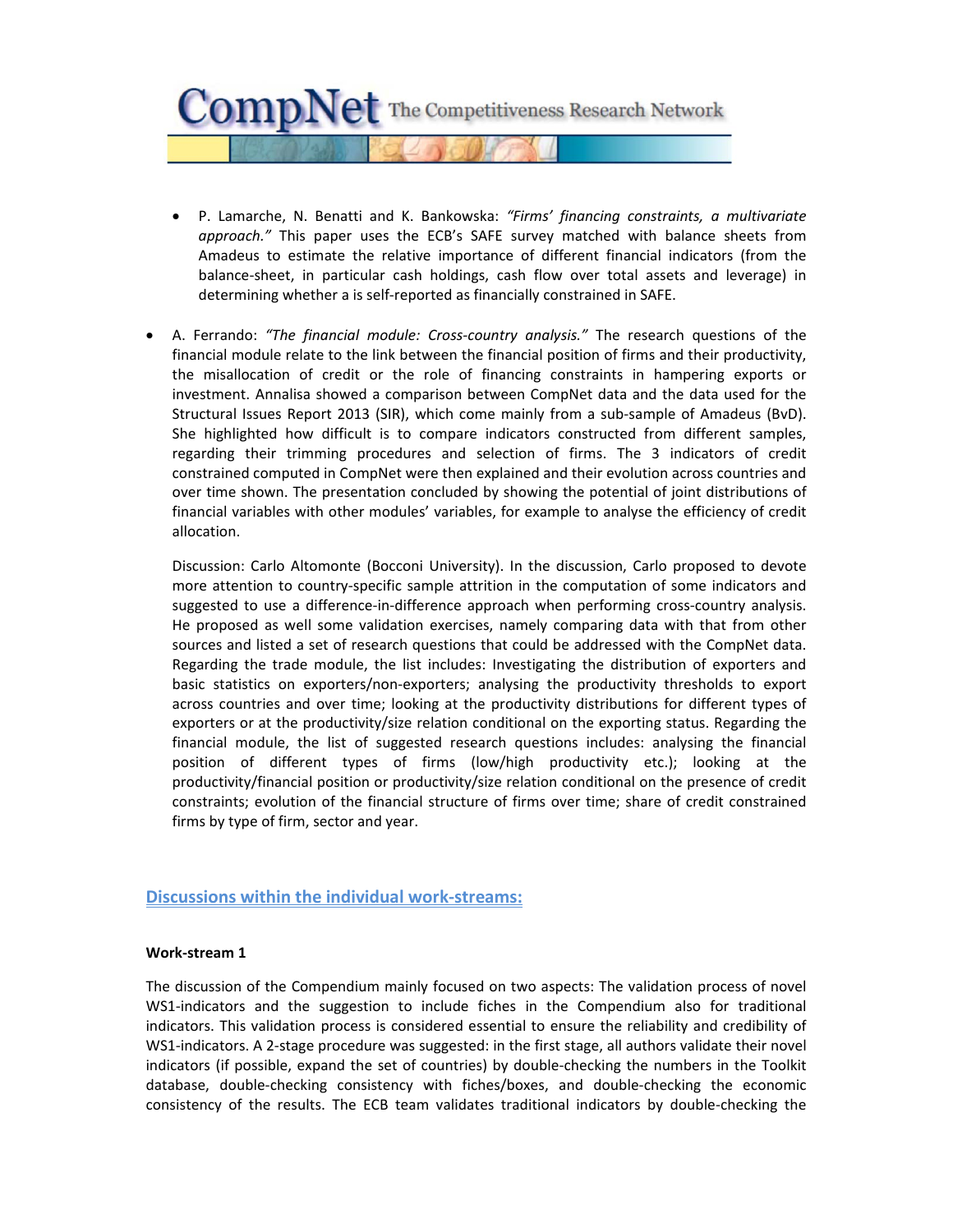

- P. Lamarche, N. Benatti and K. Bankowska: *"Firms' financing constraints, a multivariate approach."* This paper uses the ECB's SAFE survey matched with balance sheets from Amadeus to estimate the relative importance of different financial indicators (from the balance‐sheet, in particular cash holdings, cash flow over total assets and leverage) in determining whether a is self‐reported as financially constrained in SAFE.
- A. Ferrando: *"The financial module: Cross‐country analysis."* The research questions of the financial module relate to the link between the financial position of firms and their productivity, the misallocation of credit or the role of financing constraints in hampering exports or investment. Annalisa showed a comparison between CompNet data and the data used for the Structural Issues Report 2013 (SIR), which come mainly from a sub-sample of Amadeus (BvD). She highlighted how difficult is to compare indicators constructed from different samples, regarding their trimming procedures and selection of firms. The 3 indicators of credit constrained computed in CompNet were then explained and their evolution across countries and over time shown. The presentation concluded by showing the potential of joint distributions of financial variables with other modules' variables, for example to analyse the efficiency of credit allocation.

Discussion: Carlo Altomonte (Bocconi University). In the discussion, Carlo proposed to devote more attention to country‐specific sample attrition in the computation of some indicators and suggested to use a difference-in-difference approach when performing cross-country analysis. He proposed as well some validation exercises, namely comparing data with that from other sources and listed a set of research questions that could be addressed with the CompNet data. Regarding the trade module, the list includes: Investigating the distribution of exporters and basic statistics on exporters/non‐exporters; analysing the productivity thresholds to export across countries and over time; looking at the productivity distributions for different types of exporters or at the productivity/size relation conditional on the exporting status. Regarding the financial module, the list of suggested research questions includes: analysing the financial position of different types of firms (low/high productivity etc.); looking at the productivity/financial position or productivity/size relation conditional on the presence of credit constraints; evolution of the financial structure of firms over time; share of credit constrained firms by type of firm, sector and year.

### **Discussions within the individual work‐streams:**

### **Work‐stream 1**

The discussion of the Compendium mainly focused on two aspects: The validation process of novel WS1-indicators and the suggestion to include fiches in the Compendium also for traditional indicators. This validation process is considered essential to ensure the reliability and credibility of WS1-indicators. A 2-stage procedure was suggested: in the first stage, all authors validate their novel indicators (if possible, expand the set of countries) by double-checking the numbers in the Toolkit database, double‐checking consistency with fiches/boxes, and double‐checking the economic consistency of the results. The ECB team validates traditional indicators by double‐checking the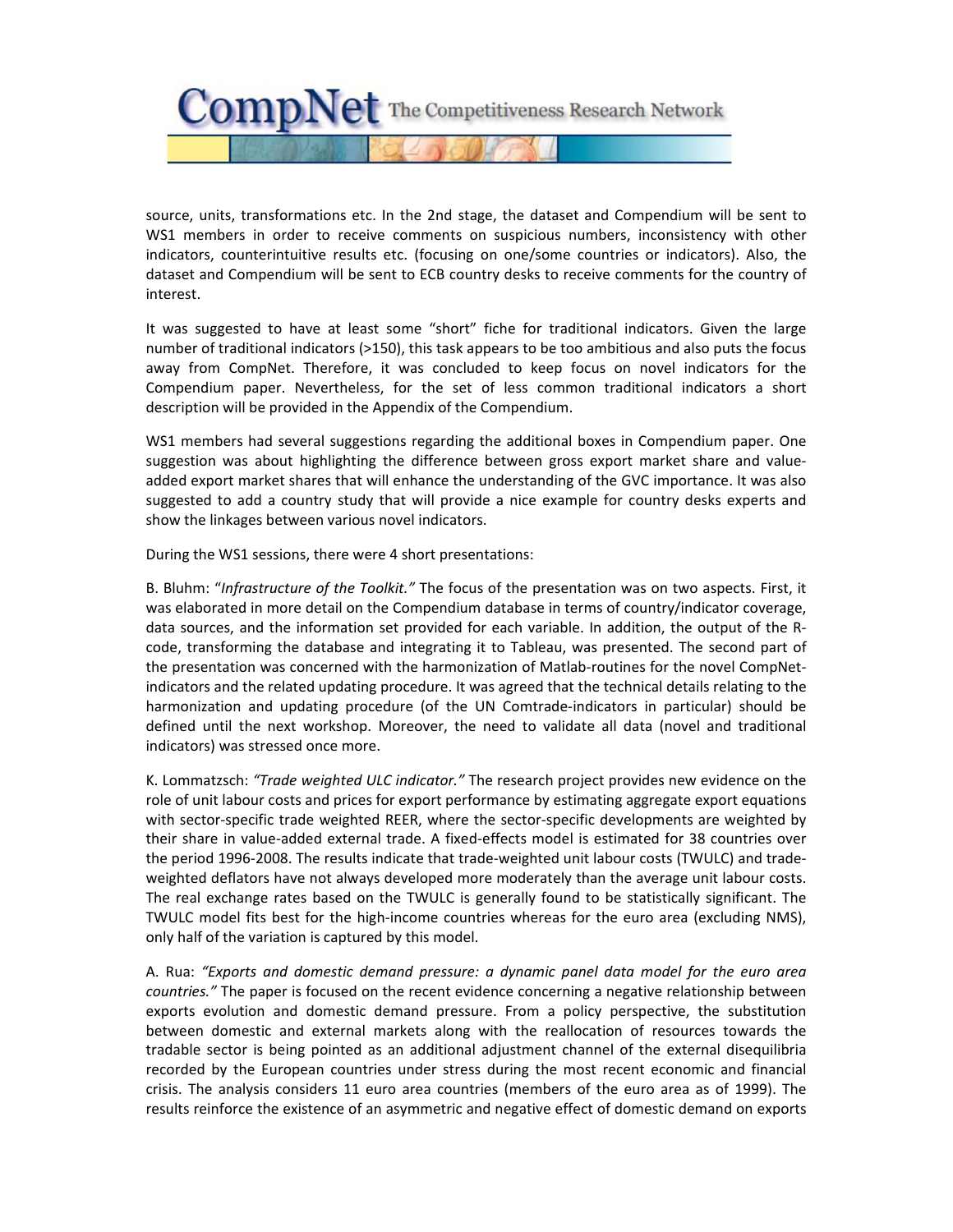

source, units, transformations etc. In the 2nd stage, the dataset and Compendium will be sent to WS1 members in order to receive comments on suspicious numbers, inconsistency with other indicators, counterintuitive results etc. (focusing on one/some countries or indicators). Also, the dataset and Compendium will be sent to ECB country desks to receive comments for the country of interest.

It was suggested to have at least some "short" fiche for traditional indicators. Given the large number of traditional indicators (>150), this task appears to be too ambitious and also puts the focus away from CompNet. Therefore, it was concluded to keep focus on novel indicators for the Compendium paper. Nevertheless, for the set of less common traditional indicators a short description will be provided in the Appendix of the Compendium.

WS1 members had several suggestions regarding the additional boxes in Compendium paper. One suggestion was about highlighting the difference between gross export market share and value‐ added export market shares that will enhance the understanding of the GVC importance. It was also suggested to add a country study that will provide a nice example for country desks experts and show the linkages between various novel indicators.

During the WS1 sessions, there were 4 short presentations:

B. Bluhm: "*Infrastructure of the Toolkit."* The focus of the presentation was on two aspects. First, it was elaborated in more detail on the Compendium database in terms of country/indicator coverage, data sources, and the information set provided for each variable. In addition, the output of the R‐ code, transforming the database and integrating it to Tableau, was presented. The second part of the presentation was concerned with the harmonization of Matlab-routines for the novel CompNetindicators and the related updating procedure. It was agreed that the technical details relating to the harmonization and updating procedure (of the UN Comtrade‐indicators in particular) should be defined until the next workshop. Moreover, the need to validate all data (novel and traditional indicators) was stressed once more.

K. Lommatzsch: *"Trade weighted ULC indicator."* The research project provides new evidence on the role of unit labour costs and prices for export performance by estimating aggregate export equations with sector-specific trade weighted REER, where the sector-specific developments are weighted by their share in value‐added external trade. A fixed‐effects model is estimated for 38 countries over the period 1996‐2008. The results indicate that trade‐weighted unit labour costs (TWULC) and trade‐ weighted deflators have not always developed more moderately than the average unit labour costs. The real exchange rates based on the TWULC is generally found to be statistically significant. The TWULC model fits best for the high‐income countries whereas for the euro area (excluding NMS), only half of the variation is captured by this model.

A. Rua: *"Exports and domestic demand pressure: a dynamic panel data model for the euro area countries."* The paper is focused on the recent evidence concerning a negative relationship between exports evolution and domestic demand pressure. From a policy perspective, the substitution between domestic and external markets along with the reallocation of resources towards the tradable sector is being pointed as an additional adjustment channel of the external disequilibria recorded by the European countries under stress during the most recent economic and financial crisis. The analysis considers 11 euro area countries (members of the euro area as of 1999). The results reinforce the existence of an asymmetric and negative effect of domestic demand on exports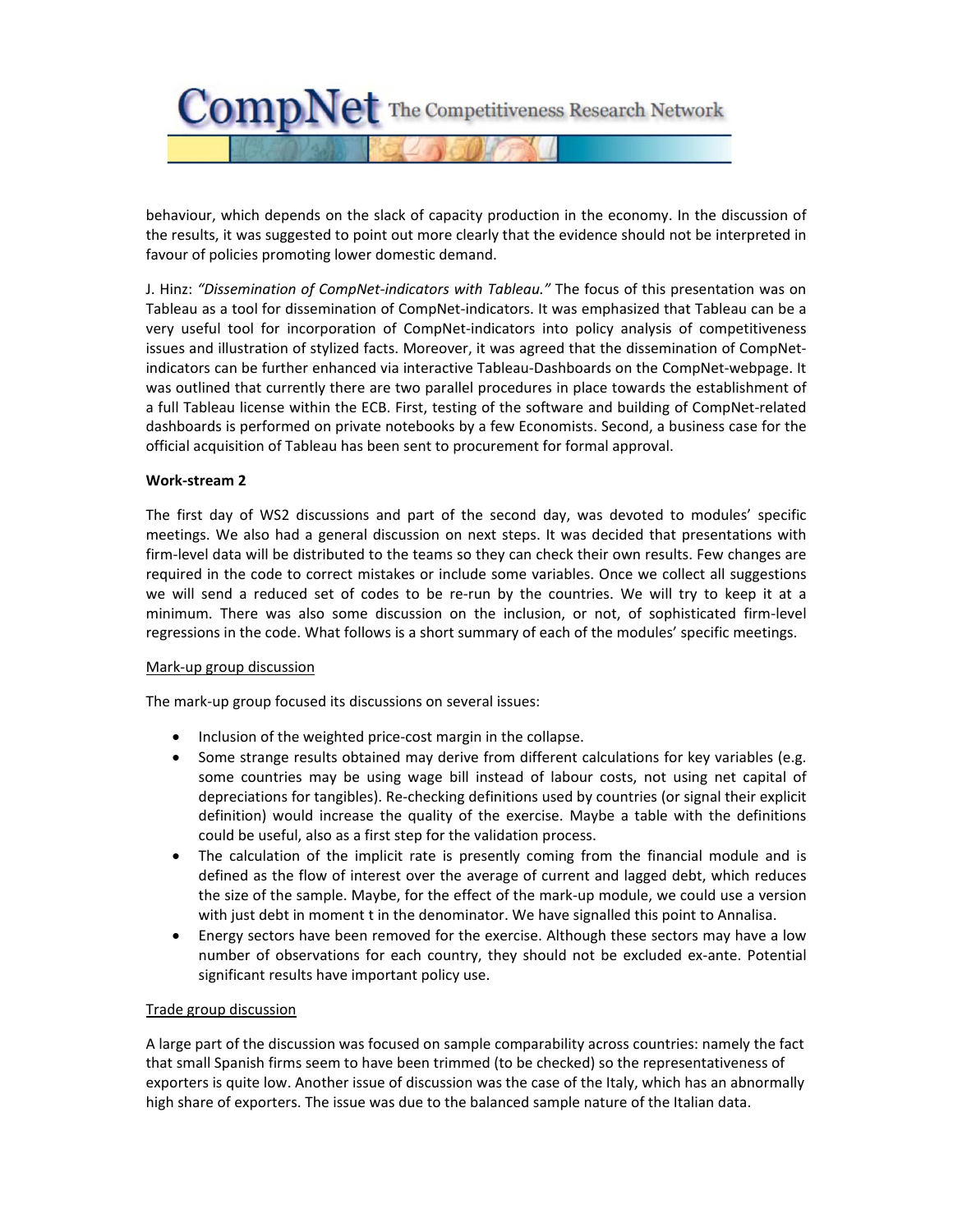

behaviour, which depends on the slack of capacity production in the economy. In the discussion of the results, it was suggested to point out more clearly that the evidence should not be interpreted in favour of policies promoting lower domestic demand.

J. Hinz: *"Dissemination of CompNet‐indicators with Tableau."* The focus of this presentation was on Tableau as a tool for dissemination of CompNet‐indicators. It was emphasized that Tableau can be a very useful tool for incorporation of CompNet-indicators into policy analysis of competitiveness issues and illustration of stylized facts. Moreover, it was agreed that the dissemination of CompNet‐ indicators can be further enhanced via interactive Tableau‐Dashboards on the CompNet‐webpage. It was outlined that currently there are two parallel procedures in place towards the establishment of a full Tableau license within the ECB. First, testing of the software and building of CompNet‐related dashboards is performed on private notebooks by a few Economists. Second, a business case for the official acquisition of Tableau has been sent to procurement for formal approval.

### **Work‐stream 2**

The first day of WS2 discussions and part of the second day, was devoted to modules' specific meetings. We also had a general discussion on next steps. It was decided that presentations with firm-level data will be distributed to the teams so they can check their own results. Few changes are required in the code to correct mistakes or include some variables. Once we collect all suggestions we will send a reduced set of codes to be re-run by the countries. We will try to keep it at a minimum. There was also some discussion on the inclusion, or not, of sophisticated firm‐level regressions in the code. What follows is a short summary of each of the modules' specific meetings.

### Mark‐up group discussion

The mark‐up group focused its discussions on several issues:

- Inclusion of the weighted price-cost margin in the collapse.
- Some strange results obtained may derive from different calculations for key variables (e.g. some countries may be using wage bill instead of labour costs, not using net capital of depreciations for tangibles). Re‐checking definitions used by countries (or signal their explicit definition) would increase the quality of the exercise. Maybe a table with the definitions could be useful, also as a first step for the validation process.
- The calculation of the implicit rate is presently coming from the financial module and is defined as the flow of interest over the average of current and lagged debt, which reduces the size of the sample. Maybe, for the effect of the mark‐up module, we could use a version with just debt in moment t in the denominator. We have signalled this point to Annalisa.
- Energy sectors have been removed for the exercise. Although these sectors may have a low number of observations for each country, they should not be excluded ex-ante. Potential significant results have important policy use.

### Trade group discussion

A large part of the discussion was focused on sample comparability across countries: namely the fact that small Spanish firms seem to have been trimmed (to be checked) so the representativeness of exporters is quite low. Another issue of discussion was the case of the Italy, which has an abnormally high share of exporters. The issue was due to the balanced sample nature of the Italian data.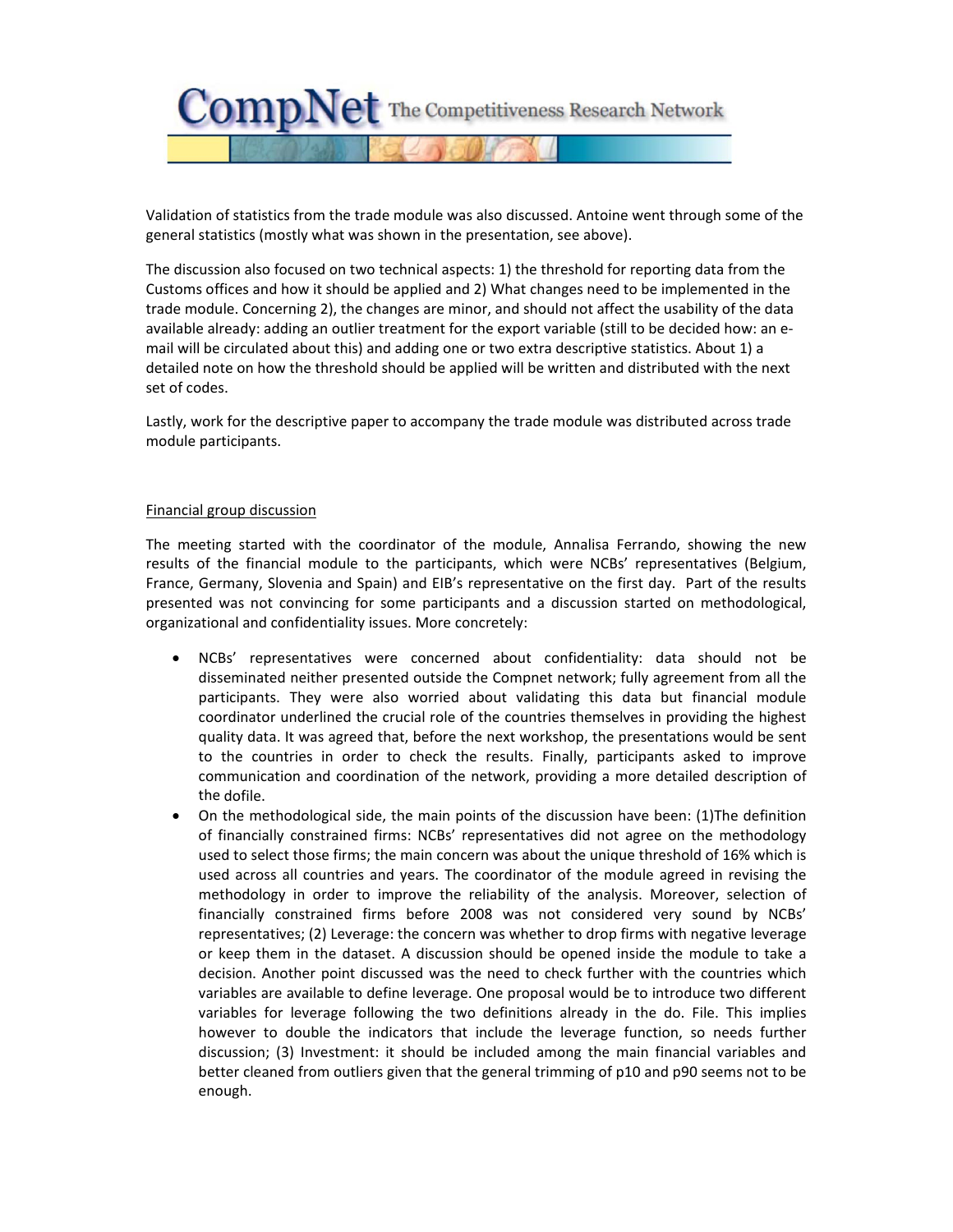

Validation of statistics from the trade module was also discussed. Antoine went through some of the general statistics (mostly what was shown in the presentation, see above).

The discussion also focused on two technical aspects: 1) the threshold for reporting data from the Customs offices and how it should be applied and 2) What changes need to be implemented in the trade module. Concerning 2), the changes are minor, and should not affect the usability of the data available already: adding an outlier treatment for the export variable (still to be decided how: an e‐ mail will be circulated about this) and adding one or two extra descriptive statistics. About 1) a detailed note on how the threshold should be applied will be written and distributed with the next set of codes.

Lastly, work for the descriptive paper to accompany the trade module was distributed across trade module participants.

#### Financial group discussion

The meeting started with the coordinator of the module, Annalisa Ferrando, showing the new results of the financial module to the participants, which were NCBs' representatives (Belgium, France, Germany, Slovenia and Spain) and EIB's representative on the first day. Part of the results presented was not convincing for some participants and a discussion started on methodological, organizational and confidentiality issues. More concretely:

- NCBs' representatives were concerned about confidentiality: data should not be disseminated neither presented outside the Compnet network; fully agreement from all the participants. They were also worried about validating this data but financial module coordinator underlined the crucial role of the countries themselves in providing the highest quality data. It was agreed that, before the next workshop, the presentations would be sent to the countries in order to check the results. Finally, participants asked to improve communication and coordination of the network, providing a more detailed description of the dofile.
- On the methodological side, the main points of the discussion have been: (1)The definition of financially constrained firms: NCBs' representatives did not agree on the methodology used to select those firms; the main concern was about the unique threshold of 16% which is used across all countries and years. The coordinator of the module agreed in revising the methodology in order to improve the reliability of the analysis. Moreover, selection of financially constrained firms before 2008 was not considered very sound by NCBs' representatives; (2) Leverage: the concern was whether to drop firms with negative leverage or keep them in the dataset. A discussion should be opened inside the module to take a decision. Another point discussed was the need to check further with the countries which variables are available to define leverage. One proposal would be to introduce two different variables for leverage following the two definitions already in the do. File. This implies however to double the indicators that include the leverage function, so needs further discussion; (3) Investment: it should be included among the main financial variables and better cleaned from outliers given that the general trimming of p10 and p90 seems not to be enough.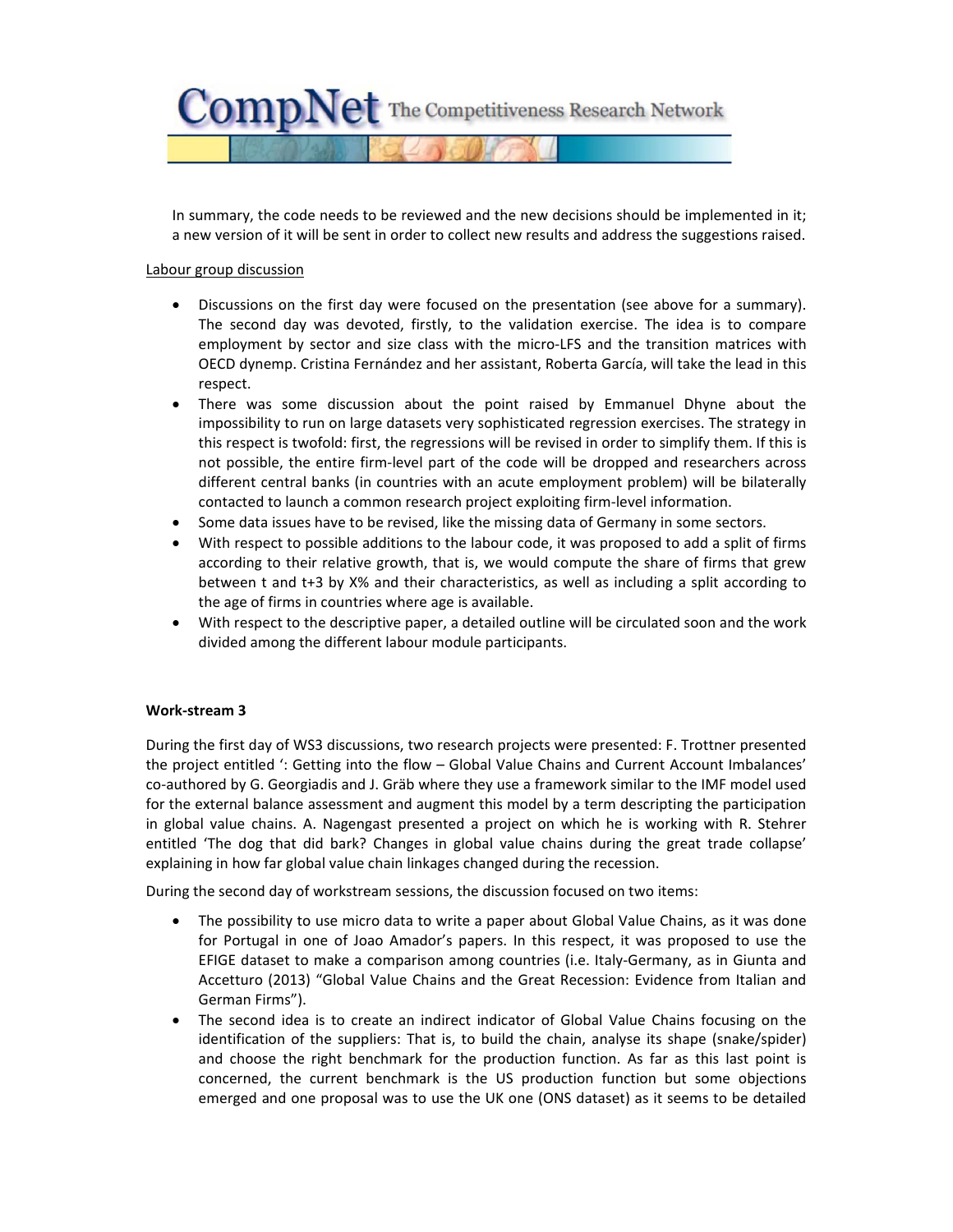

In summary, the code needs to be reviewed and the new decisions should be implemented in it; a new version of it will be sent in order to collect new results and address the suggestions raised.

### Labour group discussion

- Discussions on the first day were focused on the presentation (see above for a summary). The second day was devoted, firstly, to the validation exercise. The idea is to compare employment by sector and size class with the micro-LFS and the transition matrices with OECD dynemp. Cristina Fernández and her assistant, Roberta García, will take the lead in this respect.
- There was some discussion about the point raised by Emmanuel Dhyne about the impossibility to run on large datasets very sophisticated regression exercises. The strategy in this respect is twofold: first, the regressions will be revised in order to simplify them. If this is not possible, the entire firm-level part of the code will be dropped and researchers across different central banks (in countries with an acute employment problem) will be bilaterally contacted to launch a common research project exploiting firm‐level information.
- Some data issues have to be revised, like the missing data of Germany in some sectors.
- With respect to possible additions to the labour code, it was proposed to add a split of firms according to their relative growth, that is, we would compute the share of firms that grew between t and t+3 by X% and their characteristics, as well as including a split according to the age of firms in countries where age is available.
- With respect to the descriptive paper, a detailed outline will be circulated soon and the work divided among the different labour module participants.

### **Work‐stream 3**

During the first day of WS3 discussions, two research projects were presented: F. Trottner presented the project entitled ': Getting into the flow – Global Value Chains and Current Account Imbalances' co-authored by G. Georgiadis and J. Gräb where they use a framework similar to the IMF model used for the external balance assessment and augment this model by a term descripting the participation in global value chains. A. Nagengast presented a project on which he is working with R. Stehrer entitled 'The dog that did bark? Changes in global value chains during the great trade collapse' explaining in how far global value chain linkages changed during the recession.

During the second day of workstream sessions, the discussion focused on two items:

- The possibility to use micro data to write a paper about Global Value Chains, as it was done for Portugal in one of Joao Amador's papers. In this respect, it was proposed to use the EFIGE dataset to make a comparison among countries (i.e. Italy‐Germany, as in Giunta and Accetturo (2013) "Global Value Chains and the Great Recession: Evidence from Italian and German Firms").
- The second idea is to create an indirect indicator of Global Value Chains focusing on the identification of the suppliers: That is, to build the chain, analyse its shape (snake/spider) and choose the right benchmark for the production function. As far as this last point is concerned, the current benchmark is the US production function but some objections emerged and one proposal was to use the UK one (ONS dataset) as it seems to be detailed